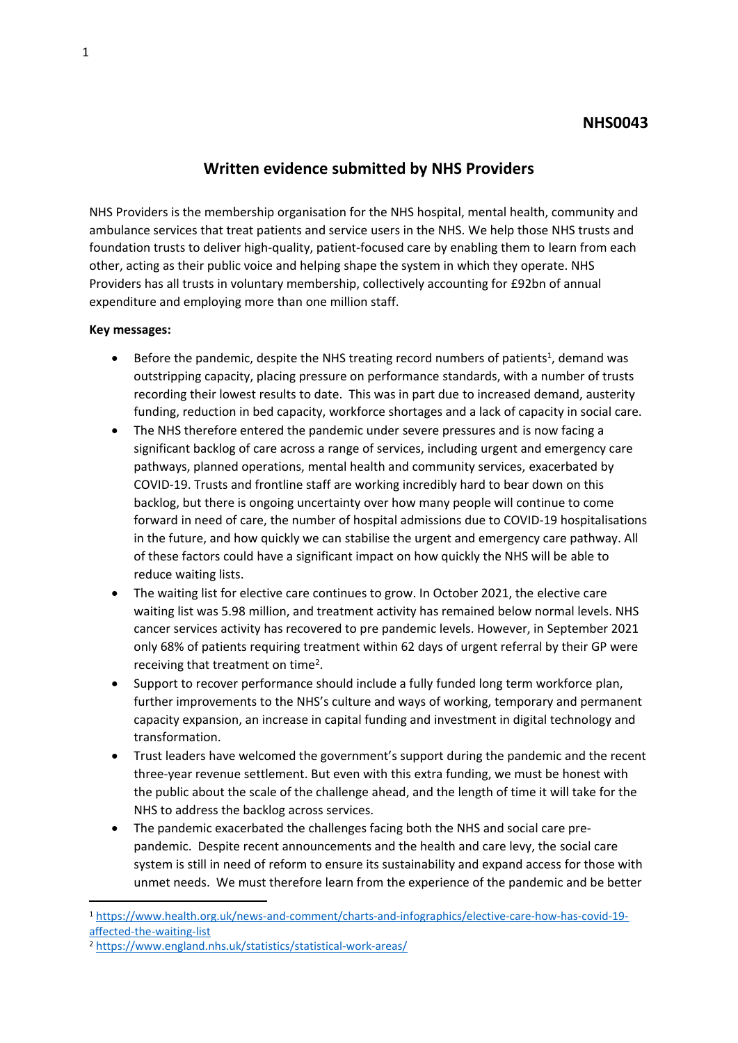# **NHS0043**

# **Written evidence submitted by NHS Providers**

NHS Providers is the membership organisation for the NHS hospital, mental health, community and ambulance services that treat patients and service users in the NHS. We help those NHS trusts and foundation trusts to deliver high-quality, patient-focused care by enabling them to learn from each other, acting as their public voice and helping shape the system in which they operate. NHS Providers has all trusts in voluntary membership, collectively accounting for £92bn of annual expenditure and employing more than one million staff.

### **Key messages:**

- Before the pandemic, despite the NHS treating record numbers of patients<sup>1</sup>, demand was outstripping capacity, placing pressure on performance standards, with a number of trusts recording their lowest results to date. This was in part due to increased demand, austerity funding, reduction in bed capacity, workforce shortages and a lack of capacity in social care.
- The NHS therefore entered the pandemic under severe pressures and is now facing a significant backlog of care across a range of services, including urgent and emergency care pathways, planned operations, mental health and community services, exacerbated by COVID-19. Trusts and frontline staff are working incredibly hard to bear down on this backlog, but there is ongoing uncertainty over how many people will continue to come forward in need of care, the number of hospital admissions due to COVID-19 hospitalisations in the future, and how quickly we can stabilise the urgent and emergency care pathway. All of these factors could have a significant impact on how quickly the NHS will be able to reduce waiting lists.
- The waiting list for elective care continues to grow. In October 2021, the elective care waiting list was 5.98 million, and treatment activity has remained below normal levels. NHS cancer services activity has recovered to pre pandemic levels. However, in September 2021 only 68% of patients requiring treatment within 62 days of urgent referral by their GP were receiving that treatment on time<sup>2</sup>.
- Support to recover performance should include a fully funded long term workforce plan, further improvements to the NHS's culture and ways of working, temporary and permanent capacity expansion, an increase in capital funding and investment in digital technology and transformation.
- Trust leaders have welcomed the government's support during the pandemic and the recent three-year revenue settlement. But even with this extra funding, we must be honest with the public about the scale of the challenge ahead, and the length of time it will take for the NHS to address the backlog across services.
- The pandemic exacerbated the challenges facing both the NHS and social care prepandemic. Despite recent announcements and the health and care levy, the social care system is still in need of reform to ensure its sustainability and expand access for those with unmet needs. We must therefore learn from the experience of the pandemic and be better

<sup>1</sup> [https://www.health.org.uk/news-and-comment/charts-and-infographics/elective-care-how-has-covid-19](https://www.health.org.uk/news-and-comment/charts-and-infographics/elective-care-how-has-covid-19-affected-the-waiting-list) [affected-the-waiting-list](https://www.health.org.uk/news-and-comment/charts-and-infographics/elective-care-how-has-covid-19-affected-the-waiting-list)

<sup>2</sup> <https://www.england.nhs.uk/statistics/statistical-work-areas/>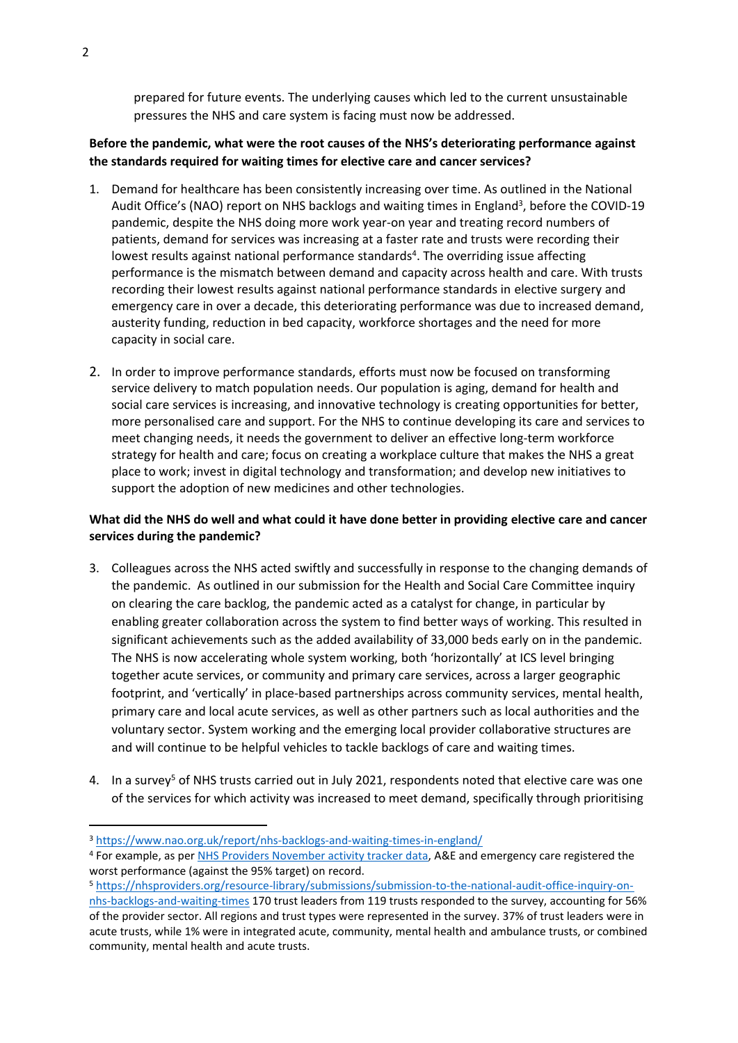prepared for future events. The underlying causes which led to the current unsustainable pressures the NHS and care system is facing must now be addressed.

## **Before the pandemic, what were the root causes of the NHS's deteriorating performance against the standards required for waiting times for elective care and cancer services?**

- 1. Demand for healthcare has been consistently increasing over time. As outlined in the National Audit Office's (NAO) report on NHS backlogs and waiting times in England<sup>3</sup>, before the COVID-19 pandemic, despite the NHS doing more work year-on year and treating record numbers of patients, demand for services was increasing at a faster rate and trusts were recording their lowest results against national performance standards<sup>4</sup>. The overriding issue affecting performance is the mismatch between demand and capacity across health and care. With trusts recording their lowest results against national performance standards in elective surgery and emergency care in over a decade, this deteriorating performance was due to increased demand, austerity funding, reduction in bed capacity, workforce shortages and the need for more capacity in social care.
- 2. In order to improve performance standards, efforts must now be focused on transforming service delivery to match population needs. Our population is aging, demand for health and social care services is increasing, and innovative technology is creating opportunities for better, more personalised care and support. For the NHS to continue developing its care and services to meet changing needs, it needs the government to deliver an effective long-term workforce strategy for health and care; focus on creating a workplace culture that makes the NHS a great place to work; invest in digital technology and transformation; and develop new initiatives to support the adoption of new medicines and other technologies.

### What did the NHS do well and what could it have done better in providing elective care and cancer **services during the pandemic?**

- 3. Colleagues across the NHS acted swiftly and successfully in response to the changing demands of the pandemic. As outlined in our submission for the Health and Social Care Committee inquiry on clearing the care backlog, the pandemic acted as a catalyst for change, in particular by enabling greater collaboration across the system to find better ways of working. This resulted in significant achievements such as the added availability of 33,000 beds early on in the pandemic. The NHS is now accelerating whole system working, both 'horizontally' at ICS level bringing together acute services, or community and primary care services, across a larger geographic footprint, and 'vertically' in place-based partnerships across community services, mental health, primary care and local acute services, as well as other partners such as local authorities and the voluntary sector. System working and the emerging local provider collaborative structures are and will continue to be helpful vehicles to tackle backlogs of care and waiting times.
- 4. In a survey<sup>5</sup> of NHS trusts carried out in July 2021, respondents noted that elective care was one of the services for which activity was increased to meet demand, specifically through prioritising

<sup>3</sup> <https://www.nao.org.uk/report/nhs-backlogs-and-waiting-times-in-england/>

<sup>4</sup> For example, as per [NHS](https://nhsproviders.org/nhs-activity-tracker/november-2021) [Providers](https://nhsproviders.org/nhs-activity-tracker/november-2021) [November](https://nhsproviders.org/nhs-activity-tracker/november-2021) [activity](https://nhsproviders.org/nhs-activity-tracker/november-2021) [tracker](https://nhsproviders.org/nhs-activity-tracker/november-2021) [data,](https://nhsproviders.org/nhs-activity-tracker/november-2021) A&E and emergency care registered the worst performance (against the 95% target) on record.

<sup>5</sup> [https://nhsproviders.org/resource-library/submissions/submission-to-the-national-audit-office-inquiry-on-](https://nhsproviders.org/resource-library/submissions/submission-to-the-national-audit-office-inquiry-on-nhs-backlogs-and-waiting-times)

[nhs-backlogs-and-waiting-times](https://nhsproviders.org/resource-library/submissions/submission-to-the-national-audit-office-inquiry-on-nhs-backlogs-and-waiting-times) 170 trust leaders from 119 trusts responded to the survey, accounting for 56% of the provider sector. All regions and trust types were represented in the survey. 37% of trust leaders were in acute trusts, while 1% were in integrated acute, community, mental health and ambulance trusts, or combined community, mental health and acute trusts.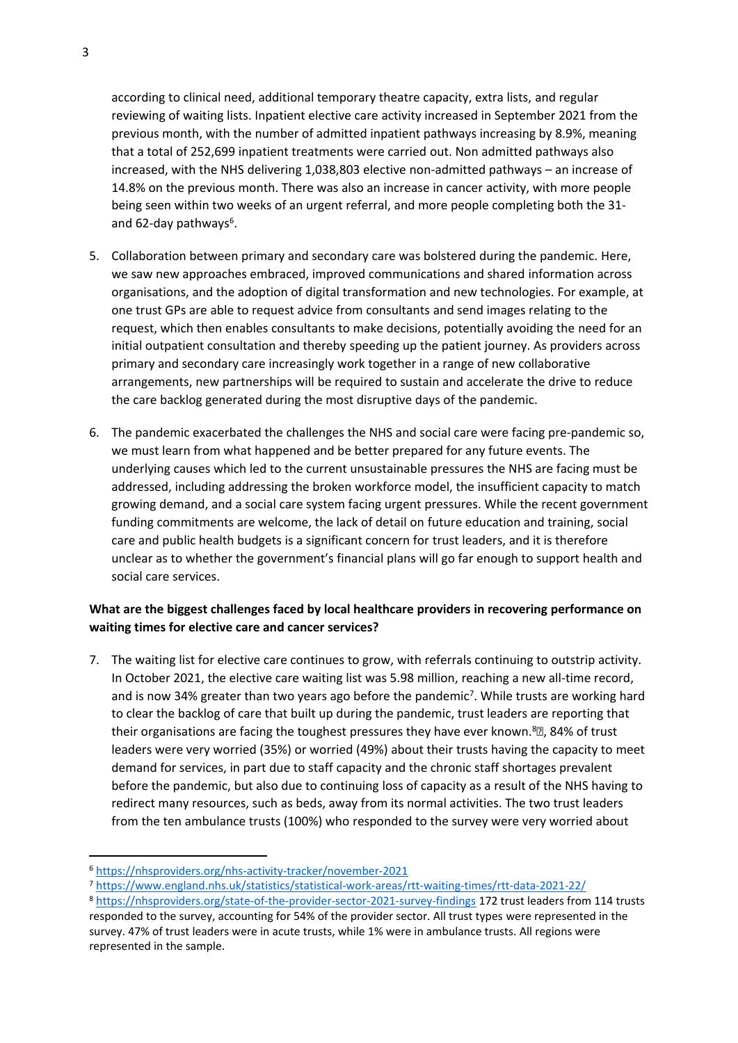according to clinical need, additional temporary theatre capacity, extra lists, and regular reviewing of waiting lists. Inpatient elective care activity increased in September 2021 from the previous month, with the number of admitted inpatient pathways increasing by 8.9%, meaning that a total of 252,699 inpatient treatments were carried out. Non admitted pathways also increased, with the NHS delivering 1,038,803 elective non-admitted pathways – an increase of 14.8% on the previous month. There was also an increase in cancer activity, with more people being seen within two weeks of an urgent referral, and more people completing both the 31 and 62-day pathways<sup>6</sup>.

- 5. Collaboration between primary and secondary care was bolstered during the pandemic. Here, we saw new approaches embraced, improved communications and shared information across organisations, and the adoption of digital transformation and new technologies. For example, at one trust GPs are able to request advice from consultants and send images relating to the request, which then enables consultants to make decisions, potentially avoiding the need for an initial outpatient consultation and thereby speeding up the patient journey. As providers across primary and secondary care increasingly work together in a range of new collaborative arrangements, new partnerships will be required to sustain and accelerate the drive to reduce the care backlog generated during the most disruptive days of the pandemic.
- 6. The pandemic exacerbated the challenges the NHS and social care were facing pre-pandemic so, we must learn from what happened and be better prepared for any future events. The underlying causes which led to the current unsustainable pressures the NHS are facing must be addressed, including addressing the broken workforce model, the insufficient capacity to match growing demand, and a social care system facing urgent pressures. While the recent government funding commitments are welcome, the lack of detail on future education and training, social care and public health budgets is a significant concern for trust leaders, and it is therefore unclear as to whether the government's financial plans will go far enough to support health and social care services.

## **What are the biggest challenges faced by local healthcare providers in recovering performance on waiting times for elective care and cancer services?**

7. The waiting list for elective care continues to grow, with referrals continuing to outstrip activity. In October 2021, the elective care waiting list was 5.98 million, reaching a new all-time record, and is now 34% greater than two years ago before the pandemic<sup>7</sup>. While trusts are working hard to clear the backlog of care that built up during the pandemic, trust leaders are reporting that their organisations are facing the toughest pressures they have ever known.<sup>8</sup>, 84% of trust leaders were very worried (35%) or worried (49%) about their trusts having the capacity to meet demand for services, in part due to staff capacity and the chronic staff shortages prevalent before the pandemic, but also due to continuing loss of capacity as a result of the NHS having to redirect many resources, such as beds, away from its normal activities. The two trust leaders from the ten ambulance trusts (100%) who responded to the survey were very worried about

<sup>7</sup> <https://www.england.nhs.uk/statistics/statistical-work-areas/rtt-waiting-times/rtt-data-2021-22/>

<sup>6</sup> <https://nhsproviders.org/nhs-activity-tracker/november-2021>

<sup>8</sup> <https://nhsproviders.org/state-of-the-provider-sector-2021-survey-findings> 172 trust leaders from 114 trusts responded to the survey, accounting for 54% of the provider sector. All trust types were represented in the survey. 47% of trust leaders were in acute trusts, while 1% were in ambulance trusts. All regions were represented in the sample.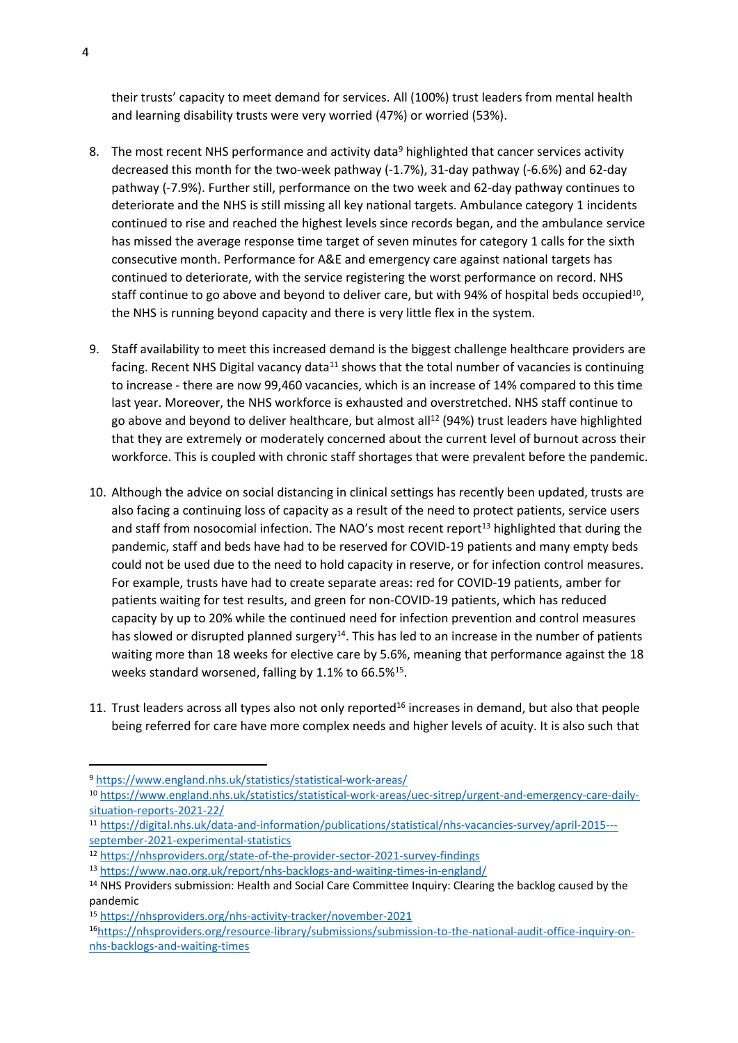their trusts' capacity to meet demand for services. All (100%) trust leaders from mental health and learning disability trusts were very worried (47%) or worried (53%).

- 8. The most recent NHS performance and activity data<sup>9</sup> highlighted that cancer services activity decreased this month for the two-week pathway (-1.7%), 31-day pathway (-6.6%) and 62-day pathway (-7.9%). Further still, performance on the two week and 62-day pathway continues to deteriorate and the NHS is still missing all key national targets. Ambulance category 1 incidents continued to rise and reached the highest levels since records began, and the ambulance service has missed the average response time target of seven minutes for category 1 calls for the sixth consecutive month. Performance for A&E and emergency care against national targets has continued to deteriorate, with the service registering the worst performance on record. NHS staff continue to go above and beyond to deliver care, but with 94% of hospital beds occupied<sup>10</sup>, the NHS is running beyond capacity and there is very little flex in the system.
- 9. Staff availability to meet this increased demand is the biggest challenge healthcare providers are facing. Recent NHS Digital vacancy data<sup>11</sup> shows that the total number of vacancies is continuing to increase - there are now 99,460 vacancies, which is an increase of 14% compared to this time last year. Moreover, the NHS workforce is exhausted and overstretched. NHS staff continue to go above and beyond to deliver healthcare, but almost all<sup>12</sup> (94%) trust leaders have highlighted that they are extremely or moderately concerned about the current level of burnout across their workforce. This is coupled with chronic staff shortages that were prevalent before the pandemic.
- 10. Although the advice on social distancing in clinical settings has recently been updated, trusts are also facing a continuing loss of capacity as a result of the need to protect patients, service users and staff from nosocomial infection. The NAO's most recent report<sup>13</sup> highlighted that during the pandemic, staff and beds have had to be reserved for COVID-19 patients and many empty beds could not be used due to the need to hold capacity in reserve, or for infection control measures. For example, trusts have had to create separate areas: red for COVID-19 patients, amber for patients waiting for test results, and green for non-COVID-19 patients, which has reduced capacity by up to 20% while the continued need for infection prevention and control measures has slowed or disrupted planned surgery<sup>14</sup>. This has led to an increase in the number of patients waiting more than 18 weeks for elective care by 5.6%, meaning that performance against the 18 weeks standard worsened, falling by 1.1% to 66.5%<sup>15</sup>.
- 11. Trust leaders across all types also not only reported<sup>16</sup> increases in demand, but also that people being referred for care have more complex needs and higher levels of acuity. It is also such that

<sup>9</sup> <https://www.england.nhs.uk/statistics/statistical-work-areas/>

<sup>10</sup> [https://www.england.nhs.uk/statistics/statistical-work-areas/uec-sitrep/urgent-and-emergency-care-daily](https://www.england.nhs.uk/statistics/statistical-work-areas/uec-sitrep/urgent-and-emergency-care-daily-situation-reports-2021-22/)[situation-reports-2021-22/](https://www.england.nhs.uk/statistics/statistical-work-areas/uec-sitrep/urgent-and-emergency-care-daily-situation-reports-2021-22/)

<sup>11</sup> [https://digital.nhs.uk/data-and-information/publications/statistical/nhs-vacancies-survey/april-2015--](https://digital.nhs.uk/data-and-information/publications/statistical/nhs-vacancies-survey/april-2015---september-2021-experimental-statistics) [september-2021-experimental-statistics](https://digital.nhs.uk/data-and-information/publications/statistical/nhs-vacancies-survey/april-2015---september-2021-experimental-statistics)

<sup>12</sup> <https://nhsproviders.org/state-of-the-provider-sector-2021-survey-findings>

<sup>13</sup> <https://www.nao.org.uk/report/nhs-backlogs-and-waiting-times-in-england/>

<sup>&</sup>lt;sup>14</sup> NHS Providers submission: Health and Social Care Committee Inquiry: Clearing the backlog caused by the pandemic

<sup>15</sup> <https://nhsproviders.org/nhs-activity-tracker/november-2021>

<sup>16</sup>[https://nhsproviders.org/resource-library/submissions/submission-to-the-national-audit-office-inquiry-on](https://nhsproviders.org/resource-library/submissions/submission-to-the-national-audit-office-inquiry-on-nhs-backlogs-and-waiting-times)[nhs-backlogs-and-waiting-times](https://nhsproviders.org/resource-library/submissions/submission-to-the-national-audit-office-inquiry-on-nhs-backlogs-and-waiting-times)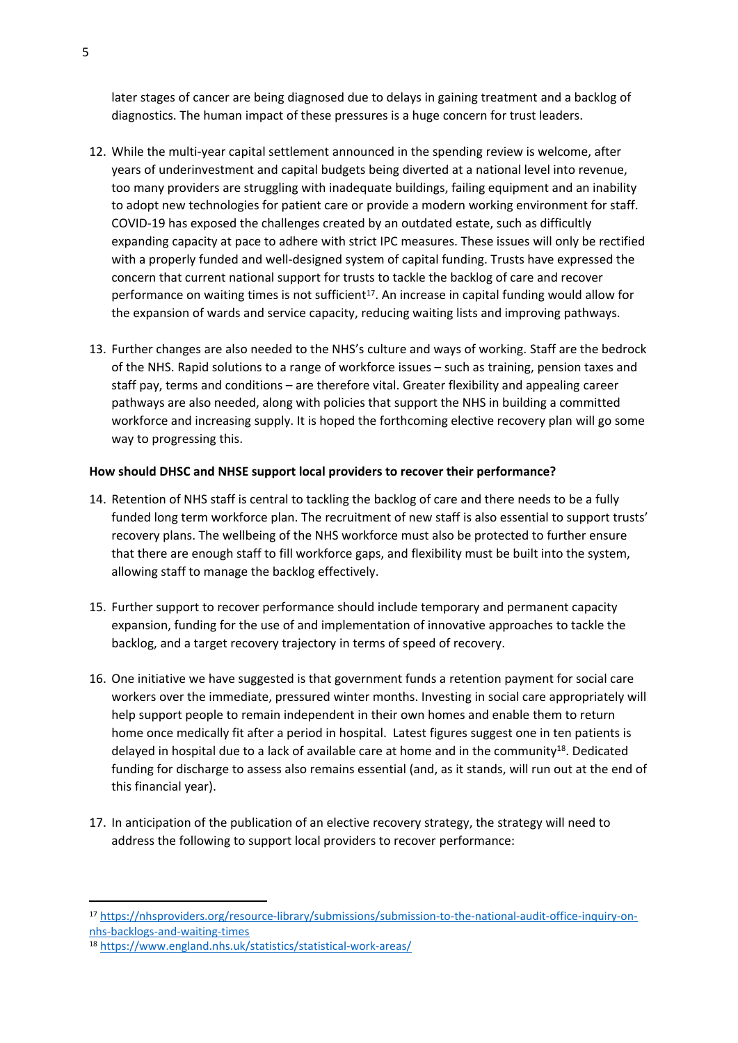later stages of cancer are being diagnosed due to delays in gaining treatment and a backlog of diagnostics. The human impact of these pressures is a huge concern for trust leaders.

- 12. While the multi-year capital settlement announced in the spending review is welcome, after years of underinvestment and capital budgets being diverted at a national level into revenue, too many providers are struggling with inadequate buildings, failing equipment and an inability to adopt new technologies for patient care or provide a modern working environment for staff. COVID-19 has exposed the challenges created by an outdated estate, such as difficultly expanding capacity at pace to adhere with strict IPC measures. These issues will only be rectified with a properly funded and well-designed system of capital funding. Trusts have expressed the concern that current national support for trusts to tackle the backlog of care and recover performance on waiting times is not sufficient<sup>17</sup>. An increase in capital funding would allow for the expansion of wards and service capacity, reducing waiting lists and improving pathways.
- 13. Further changes are also needed to the NHS's culture and ways of working. Staff are the bedrock of the NHS. Rapid solutions to a range of workforce issues – such as training, pension taxes and staff pay, terms and conditions – are therefore vital. Greater flexibility and appealing career pathways are also needed, along with policies that support the NHS in building a committed workforce and increasing supply. It is hoped the forthcoming elective recovery plan will go some way to progressing this.

#### **How should DHSC and NHSE support local providers to recover their performance?**

- 14. Retention of NHS staff is central to tackling the backlog of care and there needs to be a fully funded long term workforce plan. The recruitment of new staff is also essential to support trusts' recovery plans. The wellbeing of the NHS workforce must also be protected to further ensure that there are enough staff to fill workforce gaps, and flexibility must be built into the system, allowing staff to manage the backlog effectively.
- 15. Further support to recover performance should include temporary and permanent capacity expansion, funding for the use of and implementation of innovative approaches to tackle the backlog, and a target recovery trajectory in terms of speed of recovery.
- 16. One initiative we have suggested is that government funds a retention payment for social care workers over the immediate, pressured winter months. Investing in social care appropriately will help support people to remain independent in their own homes and enable them to return home once medically fit after a period in hospital. Latest figures suggest one in ten patients is delayed in hospital due to a lack of available care at home and in the community<sup>18</sup>. Dedicated funding for discharge to assess also remains essential (and, as it stands, will run out at the end of this financial year).
- 17. In anticipation of the publication of an elective recovery strategy, the strategy will need to address the following to support local providers to recover performance:

<sup>17</sup> [https://nhsproviders.org/resource-library/submissions/submission-to-the-national-audit-office-inquiry-on](https://nhsproviders.org/resource-library/submissions/submission-to-the-national-audit-office-inquiry-on-nhs-backlogs-and-waiting-times)[nhs-backlogs-and-waiting-times](https://nhsproviders.org/resource-library/submissions/submission-to-the-national-audit-office-inquiry-on-nhs-backlogs-and-waiting-times)

<sup>18</sup> <https://www.england.nhs.uk/statistics/statistical-work-areas/>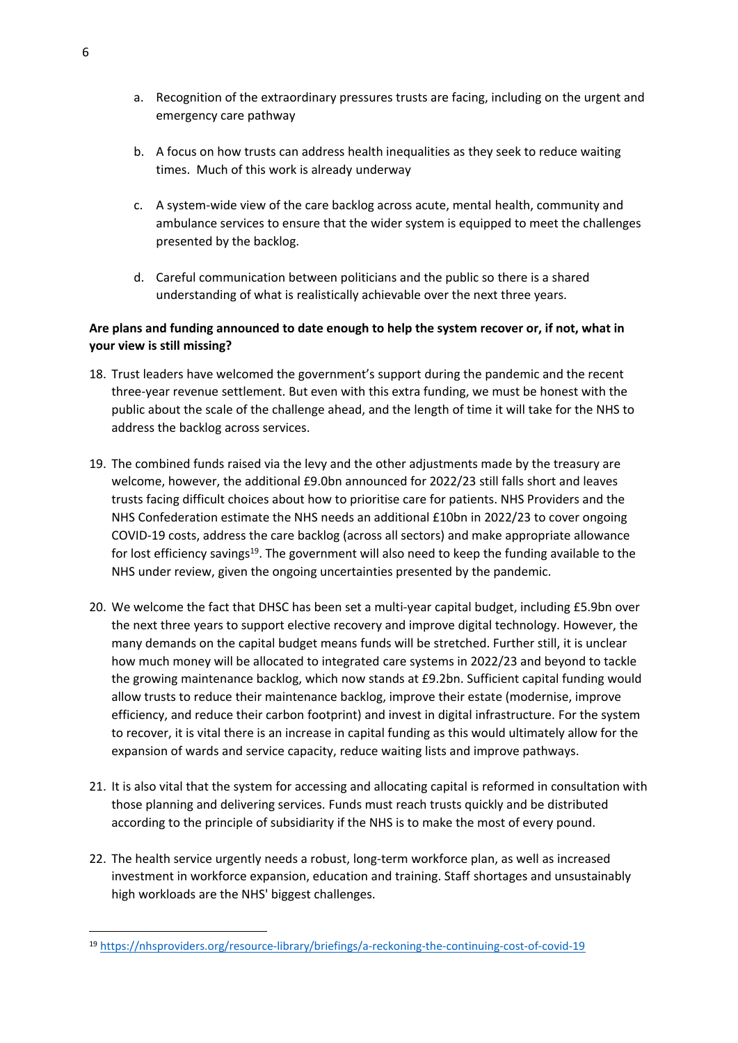- a. Recognition of the extraordinary pressures trusts are facing, including on the urgent and emergency care pathway
- b. A focus on how trusts can address health inequalities as they seek to reduce waiting times. Much of this work is already underway
- c. A system-wide view of the care backlog across acute, mental health, community and ambulance services to ensure that the wider system is equipped to meet the challenges presented by the backlog.
- d. Careful communication between politicians and the public so there is a shared understanding of what is realistically achievable over the next three years.

## **Are plans and funding announced to date enough to help the system recover or, if not, what in your view is still missing?**

- 18. Trust leaders have welcomed the government's support during the pandemic and the recent three-year revenue settlement. But even with this extra funding, we must be honest with the public about the scale of the challenge ahead, and the length of time it will take for the NHS to address the backlog across services.
- 19. The combined funds raised via the levy and the other adjustments made by the treasury are welcome, however, the additional £9.0bn announced for 2022/23 still falls short and leaves trusts facing difficult choices about how to prioritise care for patients. NHS Providers and the NHS Confederation estimate the NHS needs an additional £10bn in 2022/23 to cover ongoing COVID-19 costs, address the care backlog (across all sectors) and make appropriate allowance for lost efficiency savings<sup>19</sup>. The government will also need to keep the funding available to the NHS under review, given the ongoing uncertainties presented by the pandemic.
- 20. We welcome the fact that DHSC has been set a multi-year capital budget, including £5.9bn over the next three years to support elective recovery and improve digital technology. However, the many demands on the capital budget means funds will be stretched. Further still, it is unclear how much money will be allocated to integrated care systems in 2022/23 and beyond to tackle the growing maintenance backlog, which now stands at £9.2bn. Sufficient capital funding would allow trusts to reduce their maintenance backlog, improve their estate (modernise, improve efficiency, and reduce their carbon footprint) and invest in digital infrastructure. For the system to recover, it is vital there is an increase in capital funding as this would ultimately allow for the expansion of wards and service capacity, reduce waiting lists and improve pathways.
- 21. It is also vital that the system for accessing and allocating capital is reformed in consultation with those planning and delivering services. Funds must reach trusts quickly and be distributed according to the principle of subsidiarity if the NHS is to make the most of every pound.
- 22. The health service urgently needs a robust, long-term workforce plan, as well as increased investment in workforce expansion, education and training. Staff shortages and unsustainably high workloads are the NHS' biggest challenges.

<sup>19</sup> <https://nhsproviders.org/resource-library/briefings/a-reckoning-the-continuing-cost-of-covid-19>